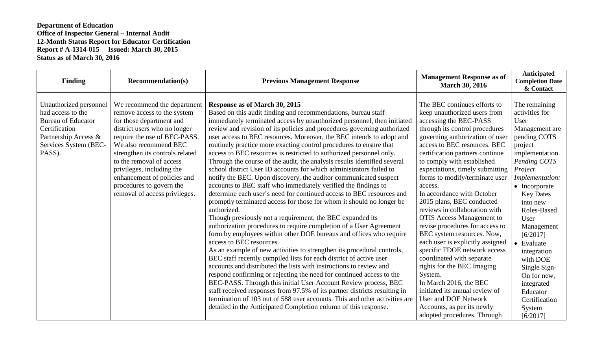| <b>Finding</b>                                                                                                                                       | <b>Recommendation(s)</b>                                                                                                                                                                                                                                                                                                                                                | <b>Previous Management Response</b>                                                                                                                                                                                                                                                                                                                                                                                                                                                                                                                                                                                                                                                                                                                                                                                                                                                                                                                                                                                                                                                                                                                                                                                                                                                                                                                                                                                                                                                                                                                                                                                                                                                                                                                                   | <b>Management Response as of</b><br><b>March 30, 2016</b>                                                                                                                                                                                                                                                                                                                                                                                                                                                                                                                                                                                                                                                                                                                                                                                       | Anticipated<br><b>Completion Date</b><br>& Contact                                                                                                                                                                                                                                                                                                                                                       |
|------------------------------------------------------------------------------------------------------------------------------------------------------|-------------------------------------------------------------------------------------------------------------------------------------------------------------------------------------------------------------------------------------------------------------------------------------------------------------------------------------------------------------------------|-----------------------------------------------------------------------------------------------------------------------------------------------------------------------------------------------------------------------------------------------------------------------------------------------------------------------------------------------------------------------------------------------------------------------------------------------------------------------------------------------------------------------------------------------------------------------------------------------------------------------------------------------------------------------------------------------------------------------------------------------------------------------------------------------------------------------------------------------------------------------------------------------------------------------------------------------------------------------------------------------------------------------------------------------------------------------------------------------------------------------------------------------------------------------------------------------------------------------------------------------------------------------------------------------------------------------------------------------------------------------------------------------------------------------------------------------------------------------------------------------------------------------------------------------------------------------------------------------------------------------------------------------------------------------------------------------------------------------------------------------------------------------|-------------------------------------------------------------------------------------------------------------------------------------------------------------------------------------------------------------------------------------------------------------------------------------------------------------------------------------------------------------------------------------------------------------------------------------------------------------------------------------------------------------------------------------------------------------------------------------------------------------------------------------------------------------------------------------------------------------------------------------------------------------------------------------------------------------------------------------------------|----------------------------------------------------------------------------------------------------------------------------------------------------------------------------------------------------------------------------------------------------------------------------------------------------------------------------------------------------------------------------------------------------------|
| Unauthorized personnel<br>had access to the<br><b>Bureau of Educator</b><br>Certification<br>Partnership Access &<br>Services System (BEC-<br>PASS). | We recommend the department<br>remove access to the system<br>for those department and<br>district users who no longer<br>require the use of BEC-PASS.<br>We also recommend BEC<br>strengthen its controls related<br>to the removal of access<br>privileges, including the<br>enhancement of policies and<br>procedures to govern the<br>removal of access privileges. | Response as of March 30, 2015<br>Based on this audit finding and recommendations, bureau staff<br>immediately terminated access by unauthorized personnel, then initiated<br>review and revision of its policies and procedures governing authorized<br>user access to BEC resources. Moreover, the BEC intends to adopt and<br>routinely practice more exacting control procedures to ensure that<br>access to BEC resources is restricted to authorized personnel only.<br>Through the course of the audit, the analysis results identified several<br>school district User ID accounts for which administrators failed to<br>notify the BEC. Upon discovery, the auditor communicated suspect<br>accounts to BEC staff who immediately verified the findings to<br>determine each user's need for continued access to BEC resources and<br>promptly terminated access for those for whom it should no longer be<br>authorized.<br>Though previously not a requirement, the BEC expanded its<br>authorization procedures to require completion of a User Agreement<br>form by employees within other DOE bureaus and offices who require<br>access to BEC resources.<br>As an example of new activities to strengthen its procedural controls,<br>BEC staff recently compiled lists for each district of active user<br>accounts and distributed the lists with instructions to review and<br>respond confirming or rejecting the need for continued access to the<br>BEC-PASS. Through this initial User Account Review process, BEC<br>staff received responses from 97.5% of its partner districts resulting in<br>termination of 103 out of 588 user accounts. This and other activities are<br>detailed in the Anticipated Completion column of this response. | The BEC continues efforts to<br>keep unauthorized users from<br>accessing the BEC-PASS<br>through its control procedures<br>governing authorization of user<br>access to BEC resources. BEC<br>certification partners continue<br>to comply with established<br>expectations, timely submitting<br>forms to modify/terminate user<br>access.<br>In accordance with October<br>2015 plans, BEC conducted<br>reviews in collaboration with<br><b>OTIS Access Management to</b><br>revise procedures for access to<br>BEC system resources. Now,<br>each user is explicitly assigned<br>specific FDOE network access<br>coordinated with separate<br>rights for the BEC Imaging<br>System.<br>In March 2016, the BEC<br>initiated its annual review of<br><b>User and DOE Network</b><br>Accounts, as per its newly<br>adopted procedures. Through | The remaining<br>activities for<br>User<br>Management are<br>pending COTS<br>project<br>implementation.<br>Pending COTS<br>Project<br>Implementation:<br>$\bullet$ Incorporate<br><b>Key Dates</b><br>into new<br>Roles-Based<br>User<br>Management<br>[6/2017]<br>• Evaluate<br>integration<br>with DOE<br>Single Sign-<br>On for new,<br>integrated<br>Educator<br>Certification<br>System<br>[6/2017] |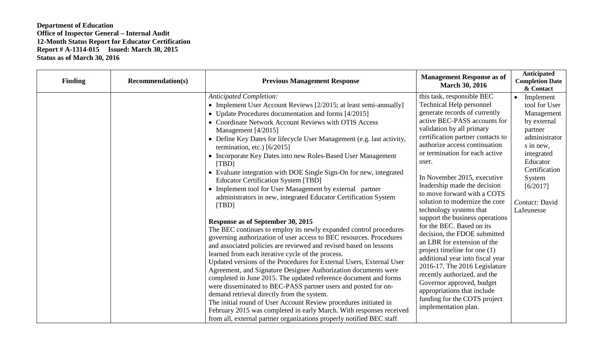| <b>Finding</b> | <b>Recommendation(s)</b> | <b>Previous Management Response</b>                                                                                                                                                                                                                                                                                                                                                                                                                                                                                                                                                                                                                                                                                                                                                                                                                      | <b>Management Response as of</b><br><b>March 30, 2016</b>                                                                                                                                                                                                                                                                                                                                                         | Anticipated<br><b>Completion Date</b><br>& Contact                                                                                                                                  |
|----------------|--------------------------|----------------------------------------------------------------------------------------------------------------------------------------------------------------------------------------------------------------------------------------------------------------------------------------------------------------------------------------------------------------------------------------------------------------------------------------------------------------------------------------------------------------------------------------------------------------------------------------------------------------------------------------------------------------------------------------------------------------------------------------------------------------------------------------------------------------------------------------------------------|-------------------------------------------------------------------------------------------------------------------------------------------------------------------------------------------------------------------------------------------------------------------------------------------------------------------------------------------------------------------------------------------------------------------|-------------------------------------------------------------------------------------------------------------------------------------------------------------------------------------|
|                |                          | <b>Anticipated Completion:</b><br>• Implement User Account Reviews [2/2015; at least semi-annually]<br>• Update Procedures documentation and forms [4/2015]<br>• Coordinate Network Account Reviews with OTIS Access<br>Management [4/2015]<br>• Define Key Dates for lifecycle User Management (e.g. last activity,<br>termination, etc.) $[6/2015]$<br>• Incorporate Key Dates into new Roles-Based User Management<br>[TBD]<br>• Evaluate integration with DOE Single Sign-On for new, integrated<br><b>Educator Certification System [TBD]</b><br>• Implement tool for User Management by external partner<br>administrators in new, integrated Educator Certification System<br>[TBD]                                                                                                                                                               | this task, responsible BEC<br><b>Technical Help personnel</b><br>generate records of currently<br>active BEC-PASS accounts for<br>validation by all primary<br>certification partner contacts to<br>authorize access continuation<br>or termination for each active<br>user.<br>In November 2015, executive<br>leadership made the decision<br>to move forward with a COTS<br>solution to modernize the core      | Implement<br>tool for User<br>Management<br>by external<br>partner<br>administrator<br>s in new,<br>integrated<br>Educator<br>Certification<br>System<br>[6/2017]<br>Contact: David |
|                |                          | Response as of September 30, 2015<br>The BEC continues to employ its newly expanded control procedures<br>governing authorization of user access to BEC resources. Procedures<br>and associated policies are reviewed and revised based on lessons<br>learned from each iterative cycle of the process.<br>Updated versions of the Procedures for External Users, External User<br>Agreement, and Signature Designee Authorization documents were<br>completed in June 2015. The updated reference document and forms<br>were disseminated to BEC-PASS partner users and posted for on-<br>demand retrieval directly from the system.<br>The initial round of User Account Review procedures initiated in<br>February 2015 was completed in early March. With responses received<br>from all, external partner organizations properly notified BEC staff | technology systems that<br>support the business operations<br>for the BEC. Based on its<br>decision, the FDOE submitted<br>an LBR for extension of the<br>project timeline for one $(1)$<br>additional year into fiscal year<br>2016-17. The 2016 Legislature<br>recently authorized, and the<br>Governor approved, budget<br>appropriations that include<br>funding for the COTS project<br>implementation plan. | LaJeunesse                                                                                                                                                                          |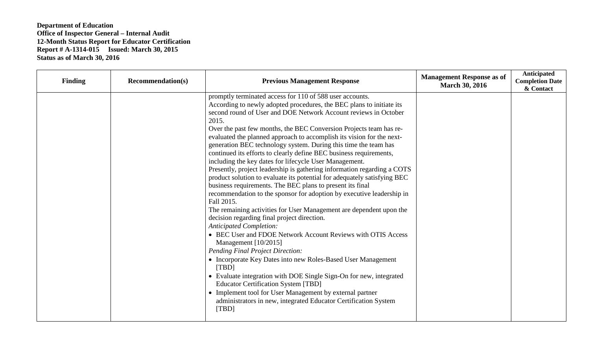| <b>Finding</b> | <b>Recommendation(s)</b> | <b>Previous Management Response</b>                                                                                                                                                                                                                                                                                                                                                                                                                                                                                                                                                                                                                                                                                                                                                                                                                                                                                                                                                                                                                                                                                                                                                                                                                                                                                                                                                                                                                                                                         | <b>Management Response as of</b><br><b>March 30, 2016</b> | Anticipated<br><b>Completion Date</b><br>& Contact |
|----------------|--------------------------|-------------------------------------------------------------------------------------------------------------------------------------------------------------------------------------------------------------------------------------------------------------------------------------------------------------------------------------------------------------------------------------------------------------------------------------------------------------------------------------------------------------------------------------------------------------------------------------------------------------------------------------------------------------------------------------------------------------------------------------------------------------------------------------------------------------------------------------------------------------------------------------------------------------------------------------------------------------------------------------------------------------------------------------------------------------------------------------------------------------------------------------------------------------------------------------------------------------------------------------------------------------------------------------------------------------------------------------------------------------------------------------------------------------------------------------------------------------------------------------------------------------|-----------------------------------------------------------|----------------------------------------------------|
|                |                          | promptly terminated access for 110 of 588 user accounts.<br>According to newly adopted procedures, the BEC plans to initiate its<br>second round of User and DOE Network Account reviews in October<br>2015.<br>Over the past few months, the BEC Conversion Projects team has re-<br>evaluated the planned approach to accomplish its vision for the next-<br>generation BEC technology system. During this time the team has<br>continued its efforts to clearly define BEC business requirements,<br>including the key dates for lifecycle User Management.<br>Presently, project leadership is gathering information regarding a COTS<br>product solution to evaluate its potential for adequately satisfying BEC<br>business requirements. The BEC plans to present its final<br>recommendation to the sponsor for adoption by executive leadership in<br>Fall 2015.<br>The remaining activities for User Management are dependent upon the<br>decision regarding final project direction.<br><b>Anticipated Completion:</b><br>• BEC User and FDOE Network Account Reviews with OTIS Access<br>Management $[10/2015]$<br><b>Pending Final Project Direction:</b><br>• Incorporate Key Dates into new Roles-Based User Management<br>[TBD]<br>• Evaluate integration with DOE Single Sign-On for new, integrated<br><b>Educator Certification System [TBD]</b><br>• Implement tool for User Management by external partner<br>administrators in new, integrated Educator Certification System<br>[TBD] |                                                           |                                                    |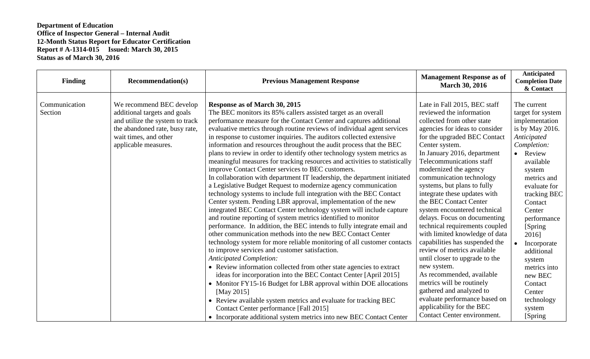| <b>Finding</b>           | <b>Recommendation(s)</b>                                                                                                                                                       | <b>Previous Management Response</b>                                                                                                                                                                                                                                                                                                                                                                                                                                                                                                                                                                                                                                                                                                                                                                                                                                                                                                                                                                                                                                                                                                                                                                                                                                                                                                                                                                                                                                                                                                                                                                                                                                                                   | <b>Management Response as of</b><br><b>March 30, 2016</b>                                                                                                                                                                                                                                                                                                                                                                                                                                                                                                                                                                                                                                                                                                                                     | Anticipated<br><b>Completion Date</b><br>& Contact                                                                                                                                                                                                                                                                                                                       |
|--------------------------|--------------------------------------------------------------------------------------------------------------------------------------------------------------------------------|-------------------------------------------------------------------------------------------------------------------------------------------------------------------------------------------------------------------------------------------------------------------------------------------------------------------------------------------------------------------------------------------------------------------------------------------------------------------------------------------------------------------------------------------------------------------------------------------------------------------------------------------------------------------------------------------------------------------------------------------------------------------------------------------------------------------------------------------------------------------------------------------------------------------------------------------------------------------------------------------------------------------------------------------------------------------------------------------------------------------------------------------------------------------------------------------------------------------------------------------------------------------------------------------------------------------------------------------------------------------------------------------------------------------------------------------------------------------------------------------------------------------------------------------------------------------------------------------------------------------------------------------------------------------------------------------------------|-----------------------------------------------------------------------------------------------------------------------------------------------------------------------------------------------------------------------------------------------------------------------------------------------------------------------------------------------------------------------------------------------------------------------------------------------------------------------------------------------------------------------------------------------------------------------------------------------------------------------------------------------------------------------------------------------------------------------------------------------------------------------------------------------|--------------------------------------------------------------------------------------------------------------------------------------------------------------------------------------------------------------------------------------------------------------------------------------------------------------------------------------------------------------------------|
| Communication<br>Section | We recommend BEC develop<br>additional targets and goals<br>and utilize the system to track<br>the abandoned rate, busy rate,<br>wait times, and other<br>applicable measures. | <b>Response as of March 30, 2015</b><br>The BEC monitors its 85% callers assisted target as an overall<br>performance measure for the Contact Center and captures additional<br>evaluative metrics through routine reviews of individual agent services<br>in response to customer inquiries. The auditors collected extensive<br>information and resources throughout the audit process that the BEC<br>plans to review in order to identify other technology system metrics as<br>meaningful measures for tracking resources and activities to statistically<br>improve Contact Center services to BEC customers.<br>In collaboration with department IT leadership, the department initiated<br>a Legislative Budget Request to modernize agency communication<br>technology systems to include full integration with the BEC Contact<br>Center system. Pending LBR approval, implementation of the new<br>integrated BEC Contact Center technology system will include capture<br>and routine reporting of system metrics identified to monitor<br>performance. In addition, the BEC intends to fully integrate email and<br>other communication methods into the new BEC Contact Center<br>technology system for more reliable monitoring of all customer contacts<br>to improve services and customer satisfaction.<br><b>Anticipated Completion:</b><br>• Review information collected from other state agencies to extract<br>ideas for incorporation into the BEC Contact Center [April 2015]<br>• Monitor FY15-16 Budget for LBR approval within DOE allocations<br>[May 2015]<br>• Review available system metrics and evaluate for tracking BEC<br>Contact Center performance [Fall 2015] | Late in Fall 2015, BEC staff<br>reviewed the information<br>collected from other state<br>agencies for ideas to consider<br>for the upgraded BEC Contact<br>Center system.<br>In January 2016, department<br>Telecommunications staff<br>modernized the agency<br>communication technology<br>systems, but plans to fully<br>integrate these updates with<br>the BEC Contact Center<br>system encountered technical<br>delays. Focus on documenting<br>technical requirements coupled<br>with limited knowledge of data<br>capabilities has suspended the<br>review of metrics available<br>until closer to upgrade to the<br>new system.<br>As recommended, available<br>metrics will be routinely<br>gathered and analyzed to<br>evaluate performance based on<br>applicability for the BEC | The current<br>target for system<br>implementation<br>is by May 2016.<br>Anticipated<br>Completion:<br>Review<br>$\bullet$<br>available<br>system<br>metrics and<br>evaluate for<br>tracking BEC<br>Contact<br>Center<br>performance<br>[Spring]<br>2016]<br>Incorporate<br>additional<br>system<br>metrics into<br>new BEC<br>Contact<br>Center<br>technology<br>system |
|                          |                                                                                                                                                                                | • Incorporate additional system metrics into new BEC Contact Center                                                                                                                                                                                                                                                                                                                                                                                                                                                                                                                                                                                                                                                                                                                                                                                                                                                                                                                                                                                                                                                                                                                                                                                                                                                                                                                                                                                                                                                                                                                                                                                                                                   | Contact Center environment.                                                                                                                                                                                                                                                                                                                                                                                                                                                                                                                                                                                                                                                                                                                                                                   | [Spring]                                                                                                                                                                                                                                                                                                                                                                 |